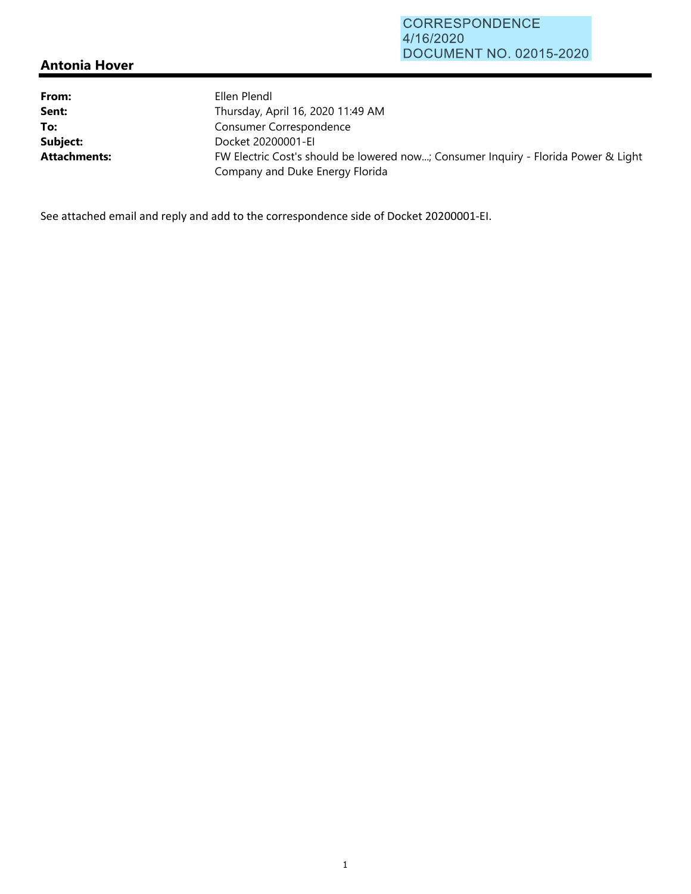## **Antonia Hover**

| From:               | Ellen Plendl                                                                                                          |
|---------------------|-----------------------------------------------------------------------------------------------------------------------|
| Sent:               | Thursday, April 16, 2020 11:49 AM                                                                                     |
| To:                 | Consumer Correspondence                                                                                               |
| Subject:            | Docket 20200001-EI                                                                                                    |
| <b>Attachments:</b> | FW Electric Cost's should be lowered now; Consumer Inquiry - Florida Power & Light<br>Company and Duke Energy Florida |

See attached email and reply and add to the correspondence side of Docket 20200001‐EI.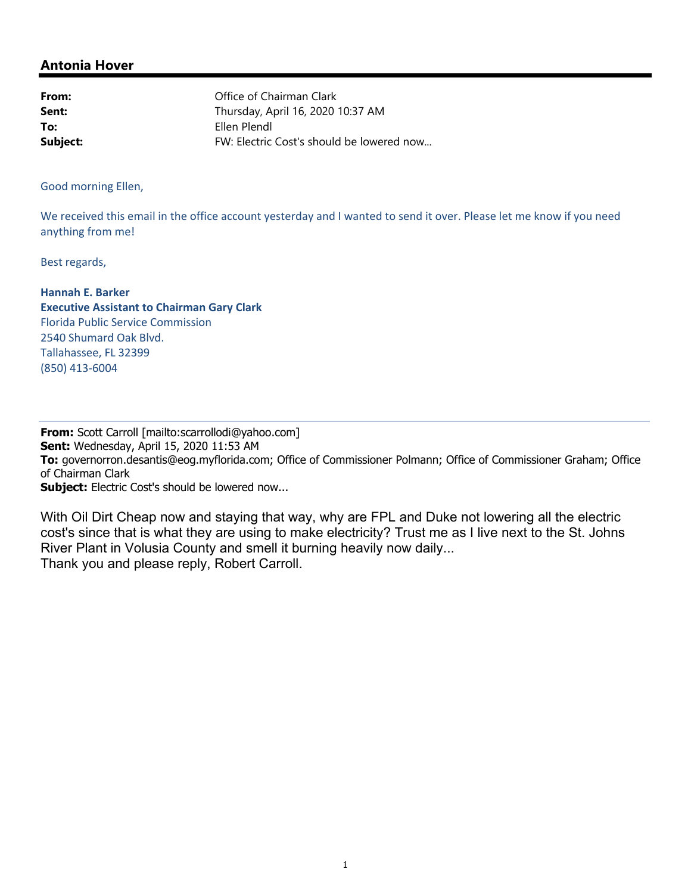## **Antonia Hover**

| From:    | Office of Chairman Clark                  |
|----------|-------------------------------------------|
| Sent:    | Thursday, April 16, 2020 10:37 AM         |
| To:      | Ellen Plendl                              |
| Subject: | FW: Electric Cost's should be lowered now |

Good morning Ellen,

We received this email in the office account yesterday and I wanted to send it over. Please let me know if you need anything from me!

Best regards,

**Hannah E. Barker Executive Assistant to Chairman Gary Clark** Florida Public Service Commission 2540 Shumard Oak Blvd. Tallahassee, FL 32399 (850) 413‐6004

**From:** Scott Carroll [mailto:scarrollodi@yahoo.com] **Sent:** Wednesday, April 15, 2020 11:53 AM **To:** governorron.desantis@eog.myflorida.com; Office of Commissioner Polmann; Office of Commissioner Graham; Office of Chairman Clark **Subject:** Electric Cost's should be lowered now...

With Oil Dirt Cheap now and staying that way, why are FPL and Duke not lowering all the electric cost's since that is what they are using to make electricity? Trust me as I live next to the St. Johns River Plant in Volusia County and smell it burning heavily now daily... Thank you and please reply, Robert Carroll.